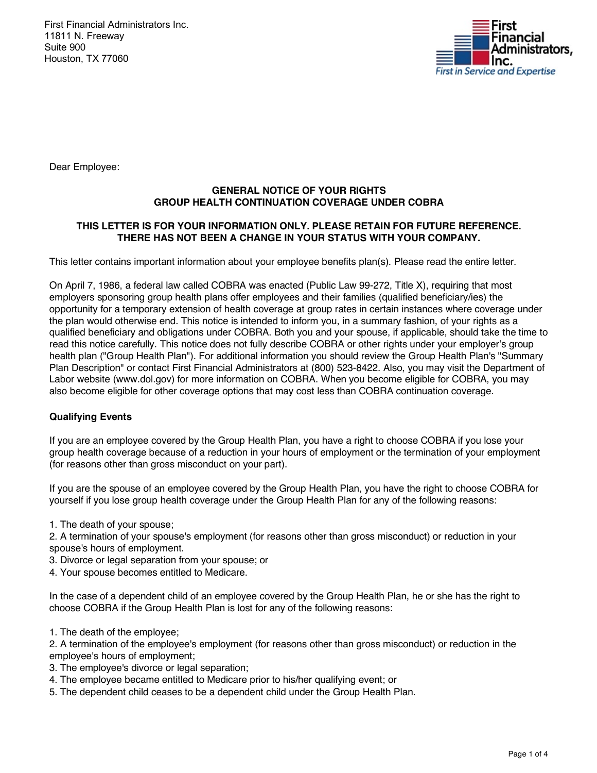First Financial Administrators Inc. 11811 N. Freeway Suite 900 Houston, TX 77060



Dear Employee:

## **GENERAL NOTICE OF YOUR RIGHTS GROUP HEALTH CONTINUATION COVERAGE UNDER COBRA**

# **THIS LETTER IS FOR YOUR INFORMATION ONLY. PLEASE RETAIN FOR FUTURE REFERENCE. THERE HAS NOT BEEN A CHANGE IN YOUR STATUS WITH YOUR COMPANY.**

This letter contains important information about your employee benefits plan(s). Please read the entire letter.

On April 7, 1986, a federal law called COBRA was enacted (Public Law 99-272, Title X), requiring that most employers sponsoring group health plans offer employees and their families (qualified beneficiary/ies) the opportunity for a temporary extension of health coverage at group rates in certain instances where coverage under the plan would otherwise end. This notice is intended to inform you, in a summary fashion, of your rights as a qualified beneficiary and obligations under COBRA. Both you and your spouse, if applicable, should take the time to read this notice carefully. This notice does not fully describe COBRA or other rights under your employer's group health plan ("Group Health Plan"). For additional information you should review the Group Health Plan's "Summary Plan Description" or contact First Financial Administrators at (800) 523-8422. Also, you may visit the Department of Labor website (www.dol.gov) for more information on COBRA. When you become eligible for COBRA, you may also become eligible for other coverage options that may cost less than COBRA continuation coverage.

# **Qualifying Events**

If you are an employee covered by the Group Health Plan, you have a right to choose COBRA if you lose your group health coverage because of a reduction in your hours of employment or the termination of your employment (for reasons other than gross misconduct on your part).

If you are the spouse of an employee covered by the Group Health Plan, you have the right to choose COBRA for yourself if you lose group health coverage under the Group Health Plan for any of the following reasons:

1. The death of your spouse;

2. A termination of your spouse's employment (for reasons other than gross misconduct) or reduction in your spouse's hours of employment.

3. Divorce or legal separation from your spouse; or

4. Your spouse becomes entitled to Medicare.

In the case of a dependent child of an employee covered by the Group Health Plan, he or she has the right to choose COBRA if the Group Health Plan is lost for any of the following reasons:

1. The death of the employee;

2. A termination of the employee's employment (for reasons other than gross misconduct) or reduction in the employee's hours of employment;

- 3. The employee's divorce or legal separation;
- 4. The employee became entitled to Medicare prior to his/her qualifying event; or
- 5. The dependent child ceases to be a dependent child under the Group Health Plan.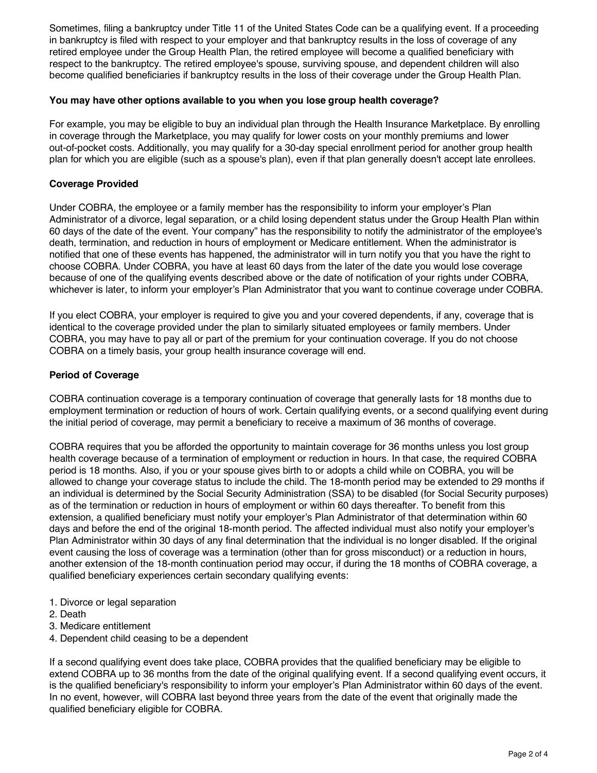Sometimes, filing a bankruptcy under Title 11 of the United States Code can be a qualifying event. If a proceeding in bankruptcy is filed with respect to your employer and that bankruptcy results in the loss of coverage of any retired employee under the Group Health Plan, the retired employee will become a qualified beneficiary with respect to the bankruptcy. The retired employee's spouse, surviving spouse, and dependent children will also become qualified beneficiaries if bankruptcy results in the loss of their coverage under the Group Health Plan.

## **You may have other options available to you when you lose group health coverage?**

For example, you may be eligible to buy an individual plan through the Health Insurance Marketplace. By enrolling in coverage through the Marketplace, you may qualify for lower costs on your monthly premiums and lower out-of-pocket costs. Additionally, you may qualify for a 30-day special enrollment period for another group health plan for which you are eligible (such as a spouse's plan), even if that plan generally doesn't accept late enrollees.

## **Coverage Provided**

Under COBRA, the employee or a family member has the responsibility to inform your employer's Plan Administrator of a divorce, legal separation, or a child losing dependent status under the Group Health Plan within 60 days of the date of the event. Your company" has the responsibility to notify the administrator of the employee's death, termination, and reduction in hours of employment or Medicare entitlement. When the administrator is notified that one of these events has happened, the administrator will in turn notify you that you have the right to choose COBRA. Under COBRA, you have at least 60 days from the later of the date you would lose coverage because of one of the qualifying events described above or the date of notification of your rights under COBRA, whichever is later, to inform your employer's Plan Administrator that you want to continue coverage under COBRA.

If you elect COBRA, your employer is required to give you and your covered dependents, if any, coverage that is identical to the coverage provided under the plan to similarly situated employees or family members. Under COBRA, you may have to pay all or part of the premium for your continuation coverage. If you do not choose COBRA on a timely basis, your group health insurance coverage will end.

### **Period of Coverage**

COBRA continuation coverage is a temporary continuation of coverage that generally lasts for 18 months due to employment termination or reduction of hours of work. Certain qualifying events, or a second qualifying event during the initial period of coverage, may permit a beneficiary to receive a maximum of 36 months of coverage.

COBRA requires that you be afforded the opportunity to maintain coverage for 36 months unless you lost group health coverage because of a termination of employment or reduction in hours. In that case, the required COBRA period is 18 months. Also, if you or your spouse gives birth to or adopts a child while on COBRA, you will be allowed to change your coverage status to include the child. The 18-month period may be extended to 29 months if an individual is determined by the Social Security Administration (SSA) to be disabled (for Social Security purposes) as of the termination or reduction in hours of employment or within 60 days thereafter. To benefit from this extension, a qualified beneficiary must notify your employer's Plan Administrator of that determination within 60 days and before the end of the original 18-month period. The affected individual must also notify your employer's Plan Administrator within 30 days of any final determination that the individual is no longer disabled. If the original event causing the loss of coverage was a termination (other than for gross misconduct) or a reduction in hours, another extension of the 18-month continuation period may occur, if during the 18 months of COBRA coverage, a qualified beneficiary experiences certain secondary qualifying events:

- 1. Divorce or legal separation
- 2. Death
- 3. Medicare entitlement
- 4. Dependent child ceasing to be a dependent

If a second qualifying event does take place, COBRA provides that the qualified beneficiary may be eligible to extend COBRA up to 36 months from the date of the original qualifying event. If a second qualifying event occurs, it is the qualified beneficiary's responsibility to inform your employer's Plan Administrator within 60 days of the event. In no event, however, will COBRA last beyond three years from the date of the event that originally made the qualified beneficiary eligible for COBRA.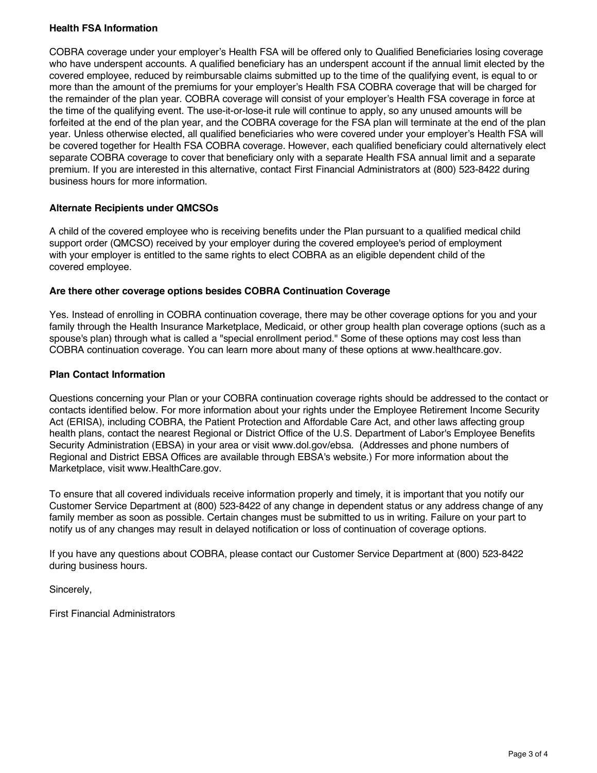## **Health FSA Information**

COBRA coverage under your employer's Health FSA will be offered only to Qualified Beneficiaries losing coverage who have underspent accounts. A qualified beneficiary has an underspent account if the annual limit elected by the covered employee, reduced by reimbursable claims submitted up to the time of the qualifying event, is equal to or more than the amount of the premiums for your employer's Health FSA COBRA coverage that will be charged for the remainder of the plan year. COBRA coverage will consist of your employer's Health FSA coverage in force at the time of the qualifying event. The use-it-or-lose-it rule will continue to apply, so any unused amounts will be forfeited at the end of the plan year, and the COBRA coverage for the FSA plan will terminate at the end of the plan year. Unless otherwise elected, all qualified beneficiaries who were covered under your employer's Health FSA will be covered together for Health FSA COBRA coverage. However, each qualified beneficiary could alternatively elect separate COBRA coverage to cover that beneficiary only with a separate Health FSA annual limit and a separate premium. If you are interested in this alternative, contact First Financial Administrators at (800) 523-8422 during business hours for more information.

### **Alternate Recipients under QMCSOs**

A child of the covered employee who is receiving benefits under the Plan pursuant to a qualified medical child support order (QMCSO) received by your employer during the covered employee's period of employment with your employer is entitled to the same rights to elect COBRA as an eligible dependent child of the covered employee.

#### **Are there other coverage options besides COBRA Continuation Coverage**

Yes. Instead of enrolling in COBRA continuation coverage, there may be other coverage options for you and your family through the Health Insurance Marketplace, Medicaid, or other group health plan coverage options (such as a spouse's plan) through what is called a "special enrollment period." Some of these options may cost less than COBRA continuation coverage. You can learn more about many of these options at www.healthcare.gov.

### **Plan Contact Information**

Questions concerning your Plan or your COBRA continuation coverage rights should be addressed to the contact or contacts identified below. For more information about your rights under the Employee Retirement Income Security Act (ERISA), including COBRA, the Patient Protection and Affordable Care Act, and other laws affecting group health plans, contact the nearest Regional or District Office of the U.S. Department of Labor's Employee Benefits Security Administration (EBSA) in your area or visit www.dol.gov/ebsa. (Addresses and phone numbers of Regional and District EBSA Offices are available through EBSA's website.) For more information about the Marketplace, visit www.HealthCare.gov.

To ensure that all covered individuals receive information properly and timely, it is important that you notify our Customer Service Department at (800) 523-8422 of any change in dependent status or any address change of any family member as soon as possible. Certain changes must be submitted to us in writing. Failure on your part to notify us of any changes may result in delayed notification or loss of continuation of coverage options.

If you have any questions about COBRA, please contact our Customer Service Department at (800) 523-8422 during business hours.

Sincerely,

First Financial Administrators